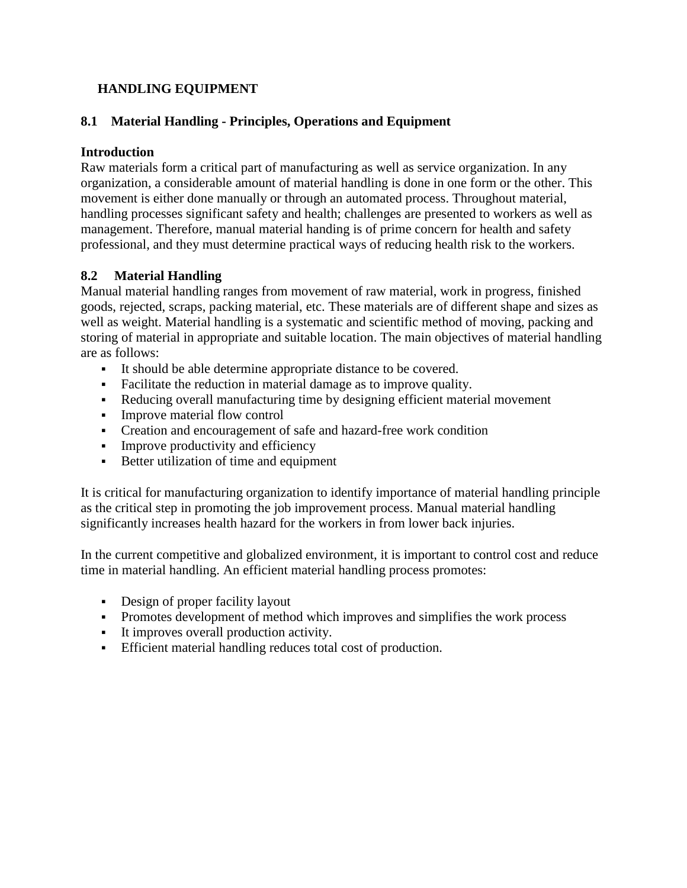### **HANDLING EQUIPMENT**

#### **8.1 Material Handling - Principles, Operations and Equipment**

#### **Introduction**

Raw materials form a critical part of manufacturing as well as service organization. In any organization, a considerable amount of material handling is done in one form or the other. This movement is either done manually or through an automated process. Throughout material, handling processes significant safety and health; challenges are presented to workers as well as management. Therefore, manual material handing is of prime concern for health and safety professional, and they must determine practical ways of reducing health risk to the workers.

### **8.2 Material Handling**

Manual material handling ranges from movement of raw material, work in progress, finished goods, rejected, scraps, packing material, etc. These materials are of different shape and sizes as well as weight. Material handling is a systematic and scientific method of moving, packing and storing of material in appropriate and suitable location. The main objectives of material handling are as follows:

- It should be able determine appropriate distance to be covered.
- Facilitate the reduction in material damage as to improve quality.
- Reducing overall manufacturing time by designing efficient material movement
- Improve material flow control
- Creation and encouragement of safe and hazard-free work condition
- Improve productivity and efficiency
- Better utilization of time and equipment

It is critical for manufacturing organization to identify importance of material handling principle as the critical step in promoting the job improvement process. Manual material handling significantly increases health hazard for the workers in from lower back injuries.

In the current competitive and globalized environment, it is important to control cost and reduce time in material handling. An efficient material handling process promotes:

- Design of proper facility layout
- Promotes development of method which improves and simplifies the work process
- It improves overall production activity.
- Efficient material handling reduces total cost of production.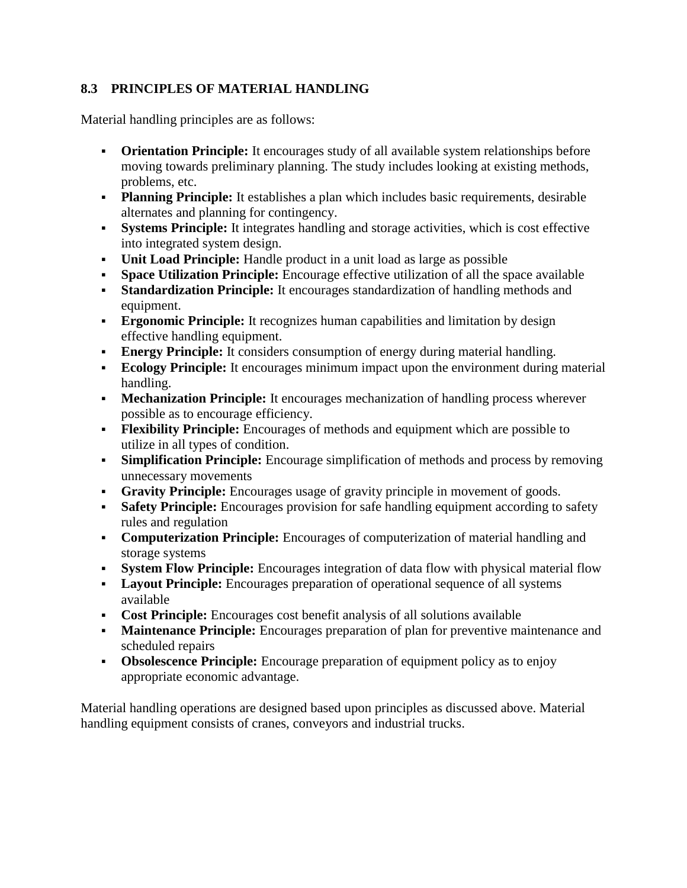# **8.3 PRINCIPLES OF MATERIAL HANDLING**

Material handling principles are as follows:

- **Orientation Principle:** It encourages study of all available system relationships before moving towards preliminary planning. The study includes looking at existing methods, problems, etc.
- **Planning Principle:** It establishes a plan which includes basic requirements, desirable alternates and planning for contingency.
- **Systems Principle:** It integrates handling and storage activities, which is cost effective into integrated system design.
- **Unit Load Principle:** Handle product in a unit load as large as possible
- **Space Utilization Principle:** Encourage effective utilization of all the space available
- **Standardization Principle:** It encourages standardization of handling methods and equipment.
- **Ergonomic Principle:** It recognizes human capabilities and limitation by design effective handling equipment.
- **Energy Principle:** It considers consumption of energy during material handling.
- **Ecology Principle:** It encourages minimum impact upon the environment during material handling.
- **Mechanization Principle:** It encourages mechanization of handling process wherever possible as to encourage efficiency.
- **Flexibility Principle:** Encourages of methods and equipment which are possible to utilize in all types of condition.
- **Simplification Principle:** Encourage simplification of methods and process by removing unnecessary movements
- **Gravity Principle:** Encourages usage of gravity principle in movement of goods.
- **Safety Principle:** Encourages provision for safe handling equipment according to safety rules and regulation
- **Computerization Principle:** Encourages of computerization of material handling and storage systems
- **System Flow Principle:** Encourages integration of data flow with physical material flow
- **Layout Principle:** Encourages preparation of operational sequence of all systems available
- **Cost Principle:** Encourages cost benefit analysis of all solutions available
- **Maintenance Principle:** Encourages preparation of plan for preventive maintenance and scheduled repairs
- **- Obsolescence Principle:** Encourage preparation of equipment policy as to enjoy appropriate economic advantage.

Material handling operations are designed based upon principles as discussed above. Material handling equipment consists of cranes, conveyors and industrial trucks.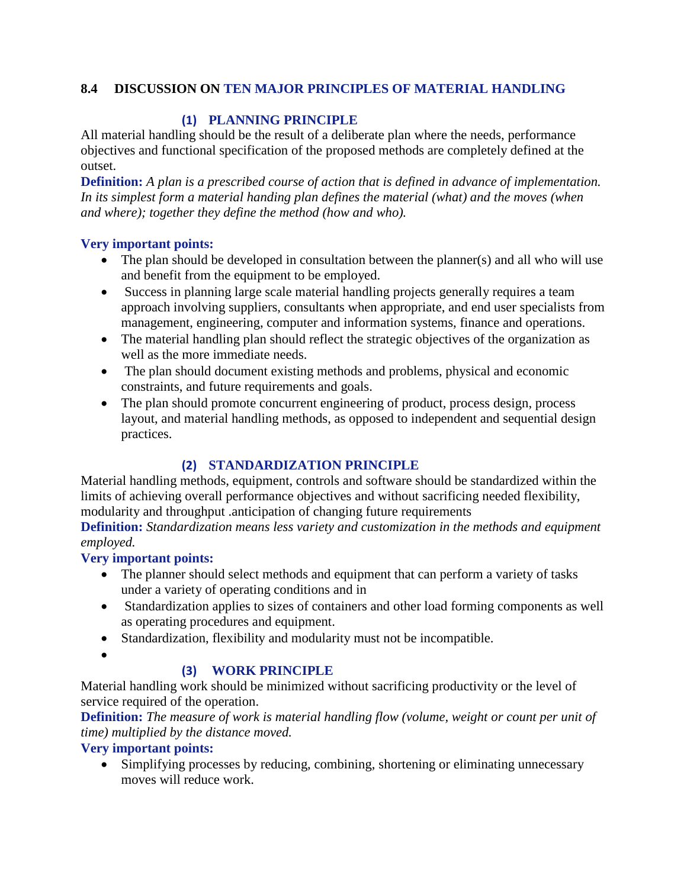### **8.4 DISCUSSION ON TEN MAJOR PRINCIPLES OF MATERIAL HANDLING**

# **(1) PLANNING PRINCIPLE**

All material handling should be the result of a deliberate plan where the needs, performance objectives and functional specification of the proposed methods are completely defined at the outset.

**Definition:** *A plan is a prescribed course of action that is defined in advance of implementation. In its simplest form a material handing plan defines the material (what) and the moves (when and where); together they define the method (how and who).*

#### **Very important points:**

- The plan should be developed in consultation between the planner(s) and all who will use and benefit from the equipment to be employed.
- Success in planning large scale material handling projects generally requires a team approach involving suppliers, consultants when appropriate, and end user specialists from management, engineering, computer and information systems, finance and operations.
- The material handling plan should reflect the strategic objectives of the organization as well as the more immediate needs.
- The plan should document existing methods and problems, physical and economic constraints, and future requirements and goals.
- The plan should promote concurrent engineering of product, process design, process layout, and material handling methods, as opposed to independent and sequential design practices.

# **(2) STANDARDIZATION PRINCIPLE**

Material handling methods, equipment, controls and software should be standardized within the limits of achieving overall performance objectives and without sacrificing needed flexibility, modularity and throughput .anticipation of changing future requirements

**Definition:** *Standardization means less variety and customization in the methods and equipment employed.*

# **Very important points:**

- The planner should select methods and equipment that can perform a variety of tasks under a variety of operating conditions and in
- Standardization applies to sizes of containers and other load forming components as well as operating procedures and equipment.
- Standardization, flexibility and modularity must not be incompatible.
- $\bullet$

# **(3) WORK PRINCIPLE**

Material handling work should be minimized without sacrificing productivity or the level of service required of the operation.

**Definition:** *The measure of work is material handling flow (volume, weight or count per unit of time) multiplied by the distance moved.*

**Very important points:**

• Simplifying processes by reducing, combining, shortening or eliminating unnecessary moves will reduce work.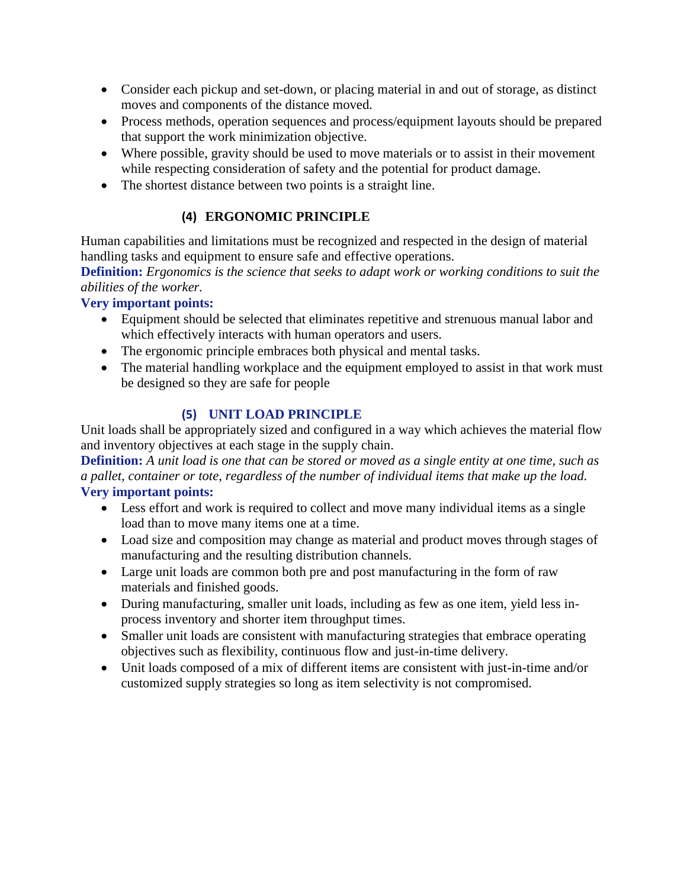- Consider each pickup and set-down, or placing material in and out of storage, as distinct moves and components of the distance moved.
- Process methods, operation sequences and process/equipment layouts should be prepared that support the work minimization objective.
- Where possible, gravity should be used to move materials or to assist in their movement while respecting consideration of safety and the potential for product damage.
- The shortest distance between two points is a straight line.

# **(4) ERGONOMIC PRINCIPLE**

Human capabilities and limitations must be recognized and respected in the design of material handling tasks and equipment to ensure safe and effective operations.

**Definition:** *Ergonomics is the science that seeks to adapt work or working conditions to suit the abilities of the worker.*

#### **Very important points:**

- Equipment should be selected that eliminates repetitive and strenuous manual labor and which effectively interacts with human operators and users.
- The ergonomic principle embraces both physical and mental tasks.
- The material handling workplace and the equipment employed to assist in that work must be designed so they are safe for people

# **(5) UNIT LOAD PRINCIPLE**

Unit loads shall be appropriately sized and configured in a way which achieves the material flow and inventory objectives at each stage in the supply chain.

**Definition:** *A unit load is one that can be stored or moved as a single entity at one time, such as a pallet, container or tote, regardless of the number of individual items that make up the load.* **Very important points:**

- Less effort and work is required to collect and move many individual items as a single load than to move many items one at a time.
- Load size and composition may change as material and product moves through stages of manufacturing and the resulting distribution channels.
- Large unit loads are common both pre and post manufacturing in the form of raw materials and finished goods.
- During manufacturing, smaller unit loads, including as few as one item, yield less inprocess inventory and shorter item throughput times.
- Smaller unit loads are consistent with manufacturing strategies that embrace operating objectives such as flexibility, continuous flow and just-in-time delivery.
- Unit loads composed of a mix of different items are consistent with just-in-time and/or customized supply strategies so long as item selectivity is not compromised.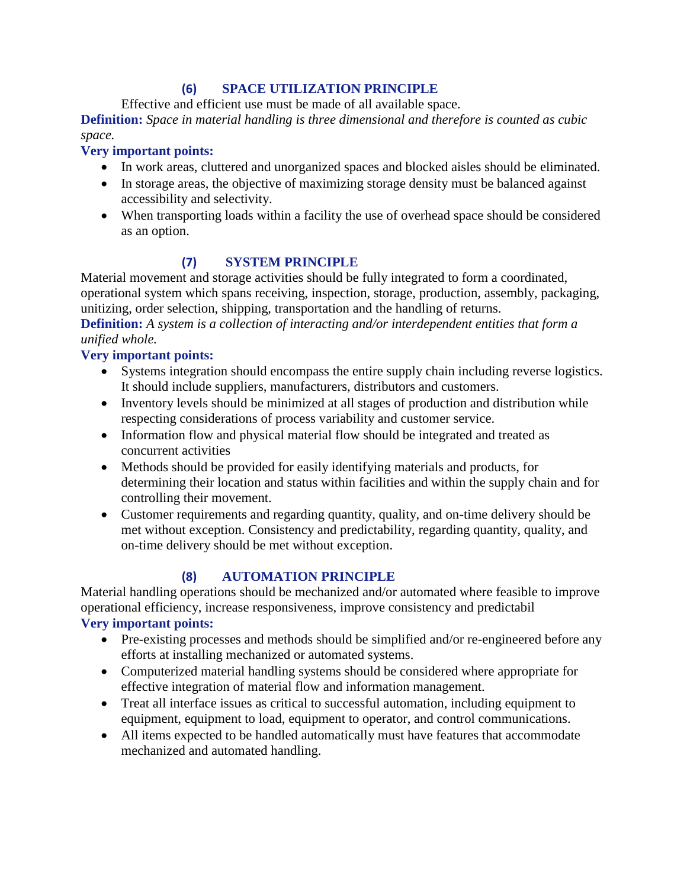### **(6) SPACE UTILIZATION PRINCIPLE**

Effective and efficient use must be made of all available space.

**Definition:** *Space in material handling is three dimensional and therefore is counted as cubic space.*

### **Very important points:**

- In work areas, cluttered and unorganized spaces and blocked aisles should be eliminated.
- In storage areas, the objective of maximizing storage density must be balanced against accessibility and selectivity.
- When transporting loads within a facility the use of overhead space should be considered as an option.

# **(7) SYSTEM PRINCIPLE**

Material movement and storage activities should be fully integrated to form a coordinated, operational system which spans receiving, inspection, storage, production, assembly, packaging, unitizing, order selection, shipping, transportation and the handling of returns.

**Definition:** *A system is a collection of interacting and/or interdependent entities that form a unified whole.*

### **Very important points:**

- Systems integration should encompass the entire supply chain including reverse logistics. It should include suppliers, manufacturers, distributors and customers.
- Inventory levels should be minimized at all stages of production and distribution while respecting considerations of process variability and customer service.
- Information flow and physical material flow should be integrated and treated as concurrent activities
- Methods should be provided for easily identifying materials and products, for determining their location and status within facilities and within the supply chain and for controlling their movement.
- Customer requirements and regarding quantity, quality, and on-time delivery should be met without exception. Consistency and predictability, regarding quantity, quality, and on-time delivery should be met without exception.

# **(8) AUTOMATION PRINCIPLE**

Material handling operations should be mechanized and/or automated where feasible to improve operational efficiency, increase responsiveness, improve consistency and predictabil **Very important points:**

- Pre-existing processes and methods should be simplified and/or re-engineered before any efforts at installing mechanized or automated systems.
- Computerized material handling systems should be considered where appropriate for effective integration of material flow and information management.
- Treat all interface issues as critical to successful automation, including equipment to equipment, equipment to load, equipment to operator, and control communications.
- All items expected to be handled automatically must have features that accommodate mechanized and automated handling.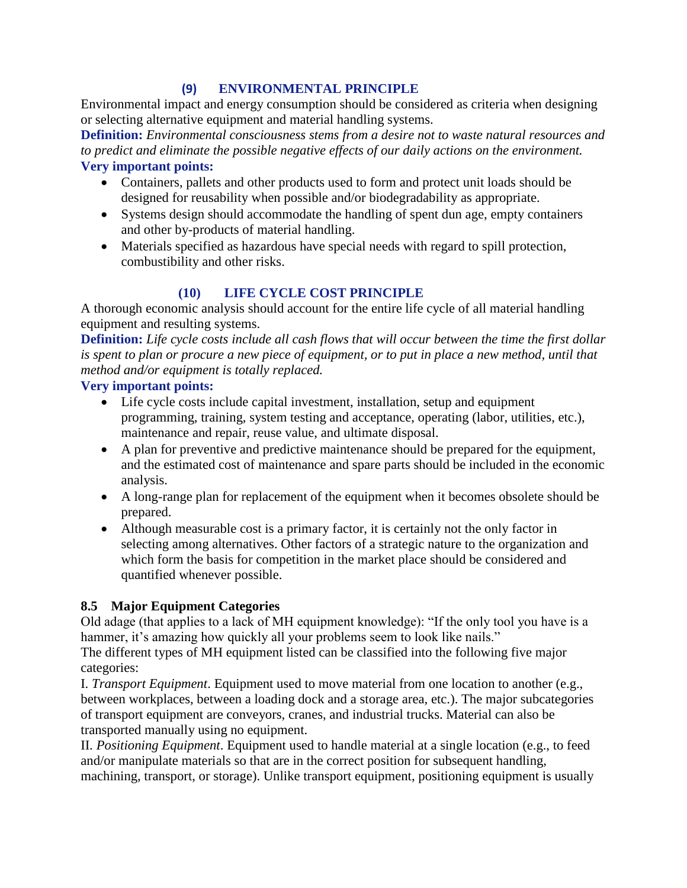#### **(9) ENVIRONMENTAL PRINCIPLE**

Environmental impact and energy consumption should be considered as criteria when designing or selecting alternative equipment and material handling systems.

**Definition:** *Environmental consciousness stems from a desire not to waste natural resources and to predict and eliminate the possible negative effects of our daily actions on the environment.* **Very important points:**

- Containers, pallets and other products used to form and protect unit loads should be designed for reusability when possible and/or biodegradability as appropriate.
- Systems design should accommodate the handling of spent dun age, empty containers and other by-products of material handling.
- Materials specified as hazardous have special needs with regard to spill protection, combustibility and other risks.

# **(10) LIFE CYCLE COST PRINCIPLE**

A thorough economic analysis should account for the entire life cycle of all material handling equipment and resulting systems.

**Definition:** *Life cycle costs include all cash flows that will occur between the time the first dollar*  is spent to plan or procure a new piece of equipment, or to put in place a new method, until that *method and/or equipment is totally replaced.*

### **Very important points:**

- Life cycle costs include capital investment, installation, setup and equipment programming, training, system testing and acceptance, operating (labor, utilities, etc.), maintenance and repair, reuse value, and ultimate disposal.
- A plan for preventive and predictive maintenance should be prepared for the equipment, and the estimated cost of maintenance and spare parts should be included in the economic analysis.
- A long-range plan for replacement of the equipment when it becomes obsolete should be prepared.
- Although measurable cost is a primary factor, it is certainly not the only factor in selecting among alternatives. Other factors of a strategic nature to the organization and which form the basis for competition in the market place should be considered and quantified whenever possible.

# **8.5 Major Equipment Categories**

Old adage (that applies to a lack of MH equipment knowledge): "If the only tool you have is a hammer, it's amazing how quickly all your problems seem to look like nails."

The different types of MH equipment listed can be classified into the following five major categories:

I. *Transport Equipment*. Equipment used to move material from one location to another (e.g., between workplaces, between a loading dock and a storage area, etc.). The major subcategories of transport equipment are conveyors, cranes, and industrial trucks. Material can also be transported manually using no equipment.

II. *Positioning Equipment*. Equipment used to handle material at a single location (e.g., to feed and/or manipulate materials so that are in the correct position for subsequent handling, machining, transport, or storage). Unlike transport equipment, positioning equipment is usually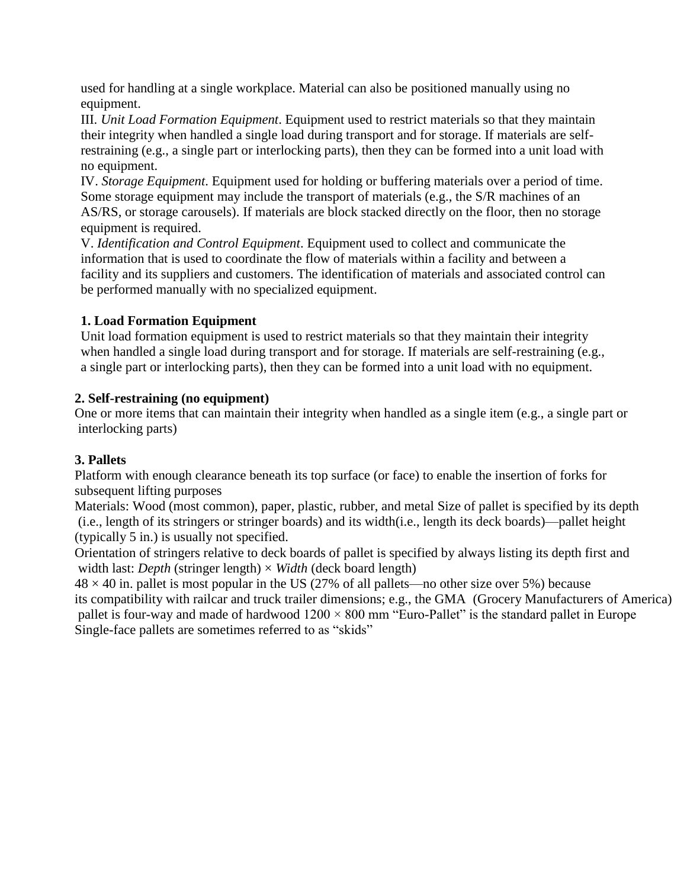used for handling at a single workplace. Material can also be positioned manually using no equipment.

III. *Unit Load Formation Equipment*. Equipment used to restrict materials so that they maintain their integrity when handled a single load during transport and for storage. If materials are selfrestraining (e.g., a single part or interlocking parts), then they can be formed into a unit load with no equipment.

IV. *Storage Equipment*. Equipment used for holding or buffering materials over a period of time. Some storage equipment may include the transport of materials (e.g., the S/R machines of an AS/RS, or storage carousels). If materials are block stacked directly on the floor, then no storage equipment is required.

V. *Identification and Control Equipment*. Equipment used to collect and communicate the information that is used to coordinate the flow of materials within a facility and between a facility and its suppliers and customers. The identification of materials and associated control can be performed manually with no specialized equipment.

### **1. Load Formation Equipment**

Unit load formation equipment is used to restrict materials so that they maintain their integrity when handled a single load during transport and for storage. If materials are self-restraining (e.g., a single part or interlocking parts), then they can be formed into a unit load with no equipment.

### **2. Self-restraining (no equipment)**

One or more items that can maintain their integrity when handled as a single item (e.g., a single part or interlocking parts)

# **3. Pallets**

Platform with enough clearance beneath its top surface (or face) to enable the insertion of forks for subsequent lifting purposes

Materials: Wood (most common), paper, plastic, rubber, and metal Size of pallet is specified by its depth (i.e., length of its stringers or stringer boards) and its width(i.e., length its deck boards)—pallet height (typically 5 in.) is usually not specified.

Orientation of stringers relative to deck boards of pallet is specified by always listing its depth first and width last: *Depth* (stringer length)  $\times$  *Width* (deck board length)

 $48 \times 40$  in. pallet is most popular in the US (27% of all pallets—no other size over 5%) because its compatibility with railcar and truck trailer dimensions; e.g., the GMA (Grocery Manufacturers of America) pallet is four-way and made of hardwood  $1200 \times 800$  mm "Euro-Pallet" is the standard pallet in Europe Single-face pallets are sometimes referred to as "skids"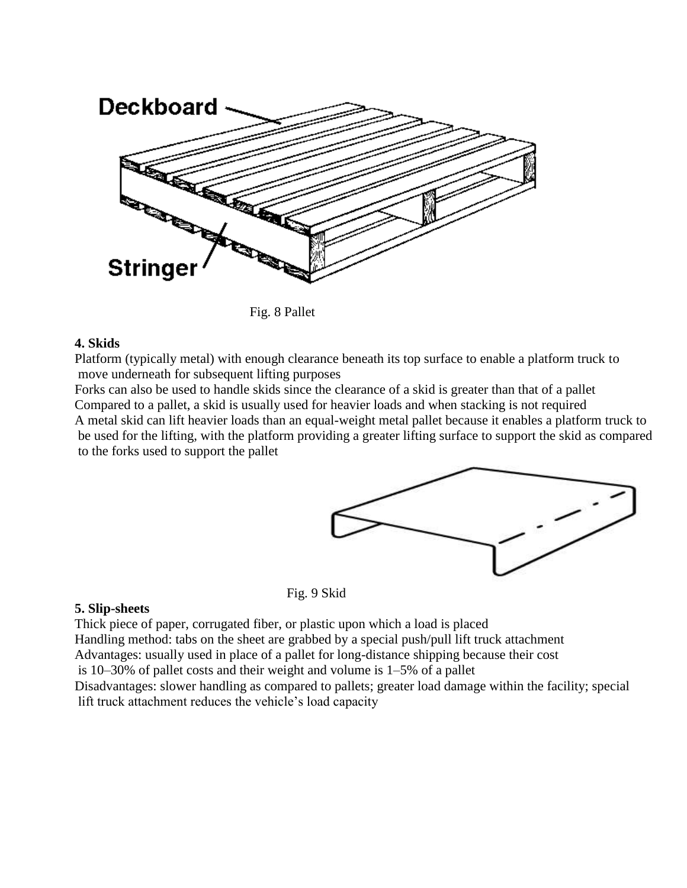

Fig. 8 Pallet

#### **4. Skids**

Platform (typically metal) with enough clearance beneath its top surface to enable a platform truck to move underneath for subsequent lifting purposes

Forks can also be used to handle skids since the clearance of a skid is greater than that of a pallet Compared to a pallet, a skid is usually used for heavier loads and when stacking is not required A metal skid can lift heavier loads than an equal-weight metal pallet because it enables a platform truck to be used for the lifting, with the platform providing a greater lifting surface to support the skid as compared to the forks used to support the pallet



Fig. 9 Skid

#### **5. Slip-sheets**

Thick piece of paper, corrugated fiber, or plastic upon which a load is placed Handling method: tabs on the sheet are grabbed by a special push/pull lift truck attachment

Advantages: usually used in place of a pallet for long-distance shipping because their cost

is 10–30% of pallet costs and their weight and volume is 1–5% of a pallet

Disadvantages: slower handling as compared to pallets; greater load damage within the facility; special lift truck attachment reduces the vehicle's load capacity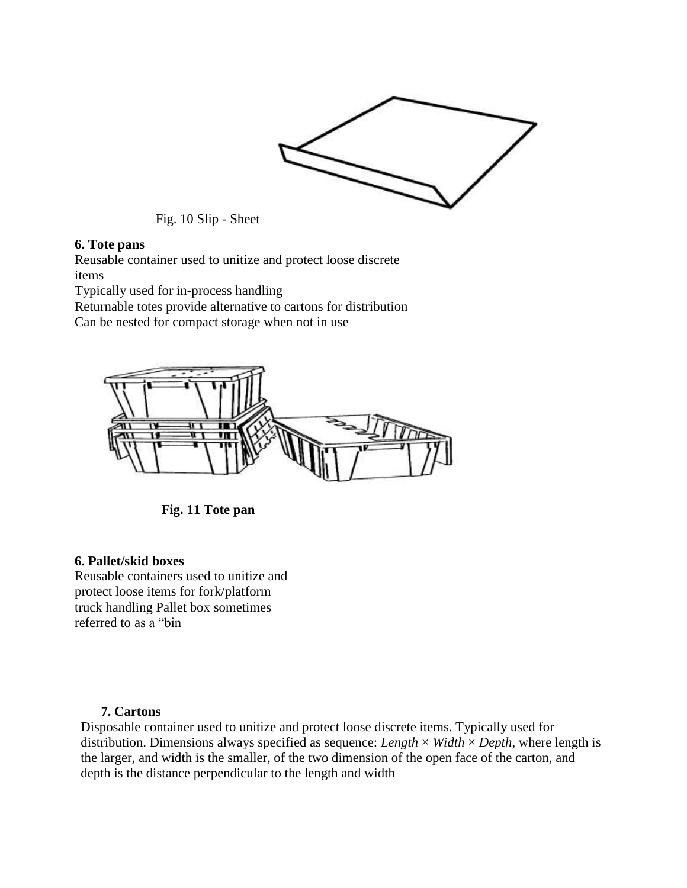

Fig. 10 Slip - Sheet

#### **6. Tote pans**

Reusable container used to unitize and protect loose discrete items

Typically used for in-process handling

Returnable totes provide alternative to cartons for distribution

Can be nested for compact storage when not in use



 **Fig. 11 Tote pan**

#### **6. Pallet/skid boxes**

Reusable containers used to unitize and protect loose items for fork/platform truck handling Pallet box sometimes referred to as a "bin

#### **7. Cartons**

Disposable container used to unitize and protect loose discrete items. Typically used for distribution. Dimensions always specified as sequence: *Length* × *Width* × *Depth*, where length is the larger, and width is the smaller, of the two dimension of the open face of the carton, and depth is the distance perpendicular to the length and width